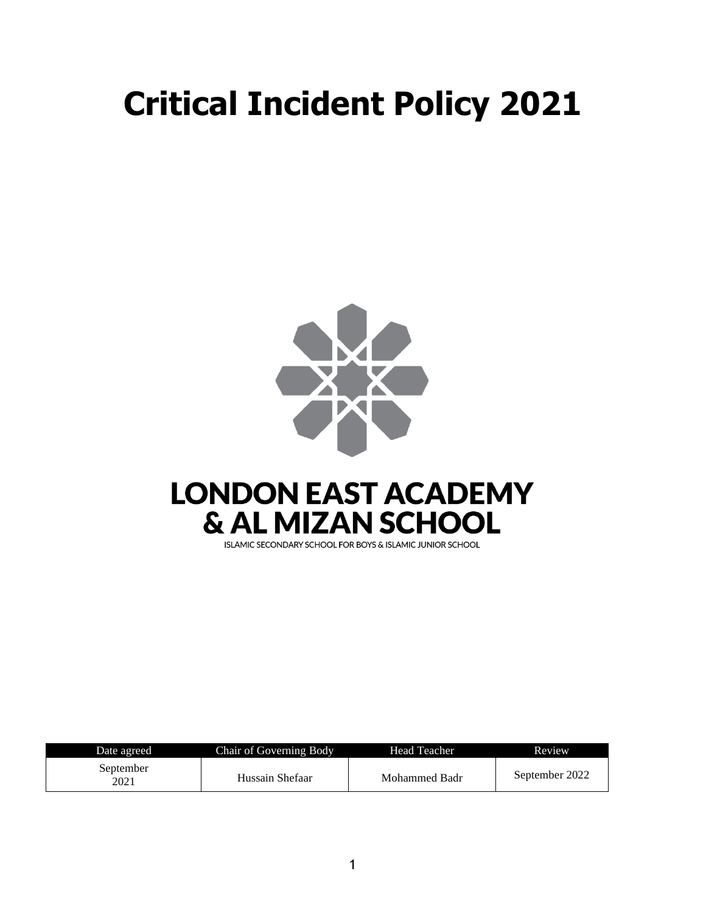# **Critical Incident Policy 2021**



## **LONDON EAST ACADEMY & AL MIZAN SCHOOL**

ISLAMIC SECONDARY SCHOOL FOR BOYS & ISLAMIC JUNIOR SCHOOL

| Date agreed       | Chair of Governing Body | Head Teacher  | Review         |
|-------------------|-------------------------|---------------|----------------|
| September<br>2021 | Hussain Shefaar         | Mohammed Badr | September 2022 |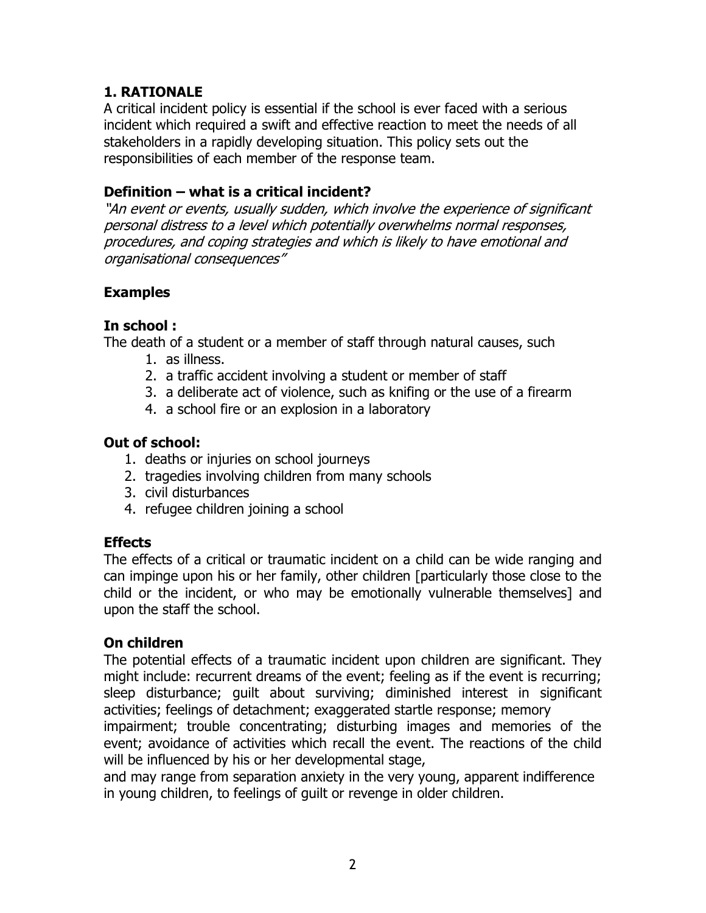## **1. RATIONALE**

A critical incident policy is essential if the school is ever faced with a serious incident which required a swift and effective reaction to meet the needs of all stakeholders in a rapidly developing situation. This policy sets out the responsibilities of each member of the response team.

## **Definition – what is a critical incident?**

"An event or events, usually sudden, which involve the experience of significant personal distress to a level which potentially overwhelms normal responses, procedures, and coping strategies and which is likely to have emotional and organisational consequences"

## **Examples**

## **In school :**

The death of a student or a member of staff through natural causes, such

- 1. as illness.
- 2. a traffic accident involving a student or member of staff
- 3. a deliberate act of violence, such as knifing or the use of a firearm
- 4. a school fire or an explosion in a laboratory

## **Out of school:**

- 1. deaths or injuries on school journeys
- 2. tragedies involving children from many schools
- 3. civil disturbances
- 4. refugee children joining a school

## **Effects**

The effects of a critical or traumatic incident on a child can be wide ranging and can impinge upon his or her family, other children [particularly those close to the child or the incident, or who may be emotionally vulnerable themselves] and upon the staff the school.

## **On children**

The potential effects of a traumatic incident upon children are significant. They might include: recurrent dreams of the event; feeling as if the event is recurring; sleep disturbance; guilt about surviving; diminished interest in significant activities; feelings of detachment; exaggerated startle response; memory impairment; trouble concentrating; disturbing images and memories of the event; avoidance of activities which recall the event. The reactions of the child

will be influenced by his or her developmental stage,

and may range from separation anxiety in the very young, apparent indifference in young children, to feelings of guilt or revenge in older children.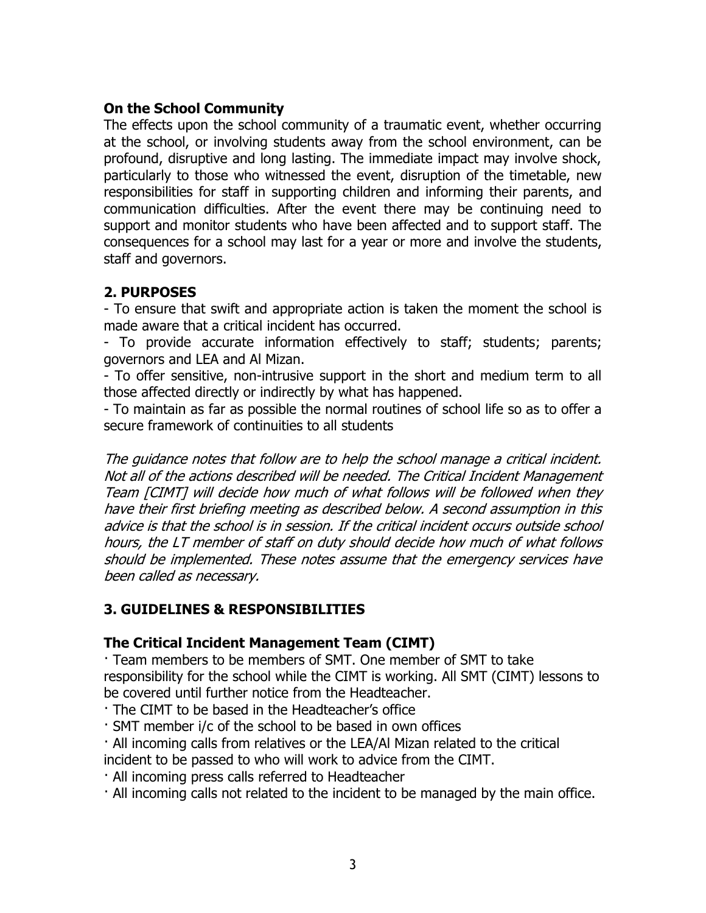## **On the School Community**

The effects upon the school community of a traumatic event, whether occurring at the school, or involving students away from the school environment, can be profound, disruptive and long lasting. The immediate impact may involve shock, particularly to those who witnessed the event, disruption of the timetable, new responsibilities for staff in supporting children and informing their parents, and communication difficulties. After the event there may be continuing need to support and monitor students who have been affected and to support staff. The consequences for a school may last for a year or more and involve the students, staff and governors.

## **2. PURPOSES**

- To ensure that swift and appropriate action is taken the moment the school is made aware that a critical incident has occurred.

- To provide accurate information effectively to staff; students; parents; governors and LEA and Al Mizan.

- To offer sensitive, non-intrusive support in the short and medium term to all those affected directly or indirectly by what has happened.

- To maintain as far as possible the normal routines of school life so as to offer a secure framework of continuities to all students

The guidance notes that follow are to help the school manage a critical incident. Not all of the actions described will be needed. The Critical Incident Management Team [CIMT] will decide how much of what follows will be followed when they have their first briefing meeting as described below. A second assumption in this advice is that the school is in session. If the critical incident occurs outside school hours, the LT member of staff on duty should decide how much of what follows should be implemented. These notes assume that the emergency services have been called as necessary.

## **3. GUIDELINES & RESPONSIBILITIES**

## **The Critical Incident Management Team (CIMT)**

· Team members to be members of SMT. One member of SMT to take responsibility for the school while the CIMT is working. All SMT (CIMT) lessons to be covered until further notice from the Headteacher.

· The CIMT to be based in the Headteacher's office

· SMT member i/c of the school to be based in own offices

· All incoming calls from relatives or the LEA/Al Mizan related to the critical

incident to be passed to who will work to advice from the CIMT.

· All incoming press calls referred to Headteacher

· All incoming calls not related to the incident to be managed by the main office.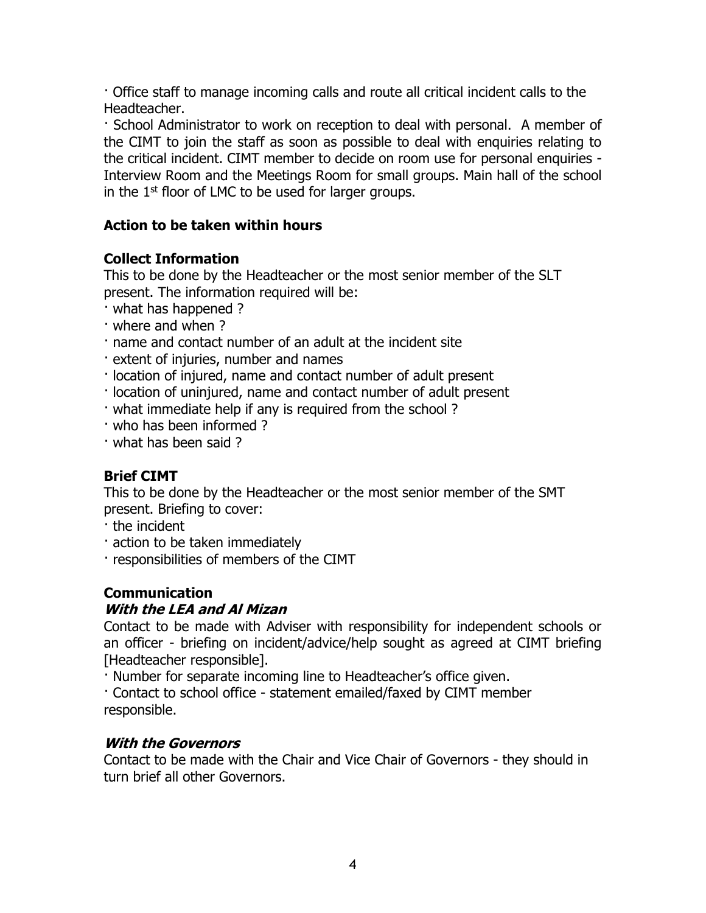· Office staff to manage incoming calls and route all critical incident calls to the Headteacher.

· School Administrator to work on reception to deal with personal. A member of the CIMT to join the staff as soon as possible to deal with enquiries relating to the critical incident. CIMT member to decide on room use for personal enquiries - Interview Room and the Meetings Room for small groups. Main hall of the school in the  $1<sup>st</sup>$  floor of LMC to be used for larger groups.

## **Action to be taken within hours**

## **Collect Information**

This to be done by the Headteacher or the most senior member of the SLT present. The information required will be:

- · what has happened ?
- · where and when ?
- · name and contact number of an adult at the incident site
- · extent of injuries, number and names
- · location of injured, name and contact number of adult present
- · location of uninjured, name and contact number of adult present
- · what immediate help if any is required from the school ?
- · who has been informed ?
- · what has been said ?

## **Brief CIMT**

This to be done by the Headteacher or the most senior member of the SMT present. Briefing to cover:

- · the incident
- · action to be taken immediately
- · responsibilities of members of the CIMT

## **Communication**

## **With the LEA and Al Mizan**

Contact to be made with Adviser with responsibility for independent schools or an officer - briefing on incident/advice/help sought as agreed at CIMT briefing [Headteacher responsible].

· Number for separate incoming line to Headteacher's office given.

· Contact to school office - statement emailed/faxed by CIMT member responsible.

## **With the Governors**

Contact to be made with the Chair and Vice Chair of Governors - they should in turn brief all other Governors.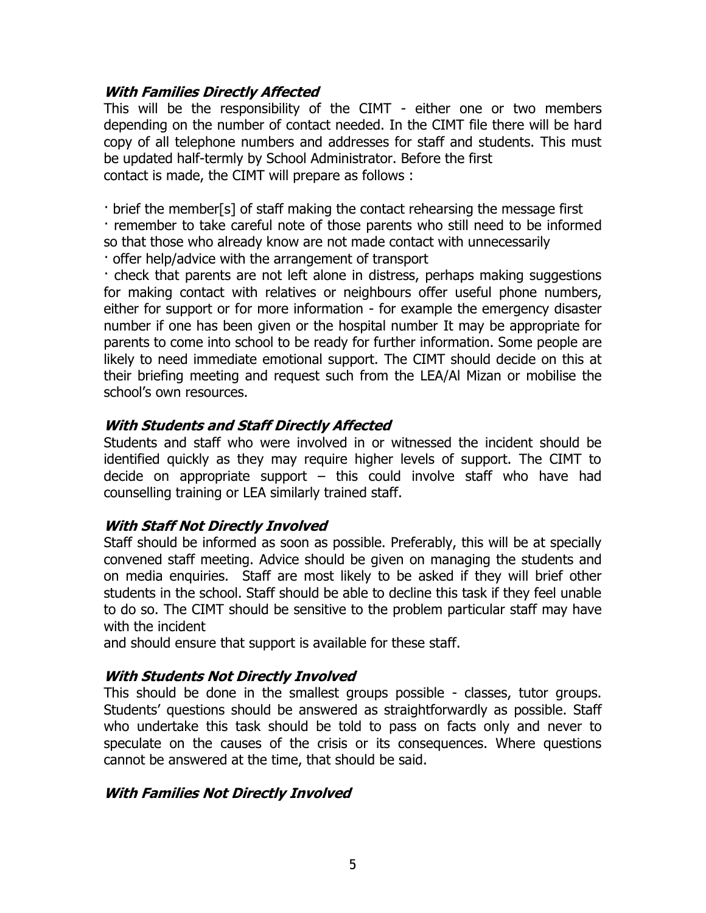#### **With Families Directly Affected**

This will be the responsibility of the CIMT - either one or two members depending on the number of contact needed. In the CIMT file there will be hard copy of all telephone numbers and addresses for staff and students. This must be updated half-termly by School Administrator. Before the first contact is made, the CIMT will prepare as follows :

· brief the member[s] of staff making the contact rehearsing the message first

· remember to take careful note of those parents who still need to be informed so that those who already know are not made contact with unnecessarily · offer help/advice with the arrangement of transport

· check that parents are not left alone in distress, perhaps making suggestions for making contact with relatives or neighbours offer useful phone numbers, either for support or for more information - for example the emergency disaster number if one has been given or the hospital number It may be appropriate for parents to come into school to be ready for further information. Some people are likely to need immediate emotional support. The CIMT should decide on this at their briefing meeting and request such from the LEA/Al Mizan or mobilise the school's own resources.

## **With Students and Staff Directly Affected**

Students and staff who were involved in or witnessed the incident should be identified quickly as they may require higher levels of support. The CIMT to decide on appropriate support – this could involve staff who have had counselling training or LEA similarly trained staff.

## **With Staff Not Directly Involved**

Staff should be informed as soon as possible. Preferably, this will be at specially convened staff meeting. Advice should be given on managing the students and on media enquiries. Staff are most likely to be asked if they will brief other students in the school. Staff should be able to decline this task if they feel unable to do so. The CIMT should be sensitive to the problem particular staff may have with the incident

and should ensure that support is available for these staff.

## **With Students Not Directly Involved**

This should be done in the smallest groups possible - classes, tutor groups. Students' questions should be answered as straightforwardly as possible. Staff who undertake this task should be told to pass on facts only and never to speculate on the causes of the crisis or its consequences. Where questions cannot be answered at the time, that should be said.

## **With Families Not Directly Involved**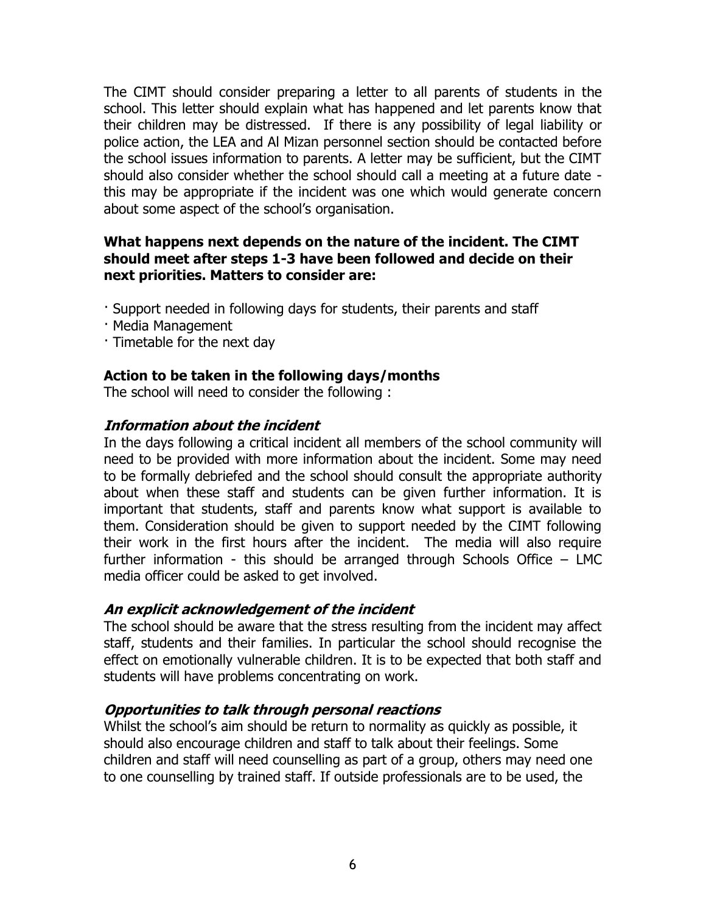The CIMT should consider preparing a letter to all parents of students in the school. This letter should explain what has happened and let parents know that their children may be distressed. If there is any possibility of legal liability or police action, the LEA and Al Mizan personnel section should be contacted before the school issues information to parents. A letter may be sufficient, but the CIMT should also consider whether the school should call a meeting at a future date this may be appropriate if the incident was one which would generate concern about some aspect of the school's organisation.

#### **What happens next depends on the nature of the incident. The CIMT should meet after steps 1-3 have been followed and decide on their next priorities. Matters to consider are:**

- · Support needed in following days for students, their parents and staff
- · Media Management
- · Timetable for the next day

## **Action to be taken in the following days/months**

The school will need to consider the following :

## **Information about the incident**

In the days following a critical incident all members of the school community will need to be provided with more information about the incident. Some may need to be formally debriefed and the school should consult the appropriate authority about when these staff and students can be given further information. It is important that students, staff and parents know what support is available to them. Consideration should be given to support needed by the CIMT following their work in the first hours after the incident. The media will also require further information - this should be arranged through Schools Office – LMC media officer could be asked to get involved.

## **An explicit acknowledgement of the incident**

The school should be aware that the stress resulting from the incident may affect staff, students and their families. In particular the school should recognise the effect on emotionally vulnerable children. It is to be expected that both staff and students will have problems concentrating on work.

## **Opportunities to talk through personal reactions**

Whilst the school's aim should be return to normality as quickly as possible, it should also encourage children and staff to talk about their feelings. Some children and staff will need counselling as part of a group, others may need one to one counselling by trained staff. If outside professionals are to be used, the